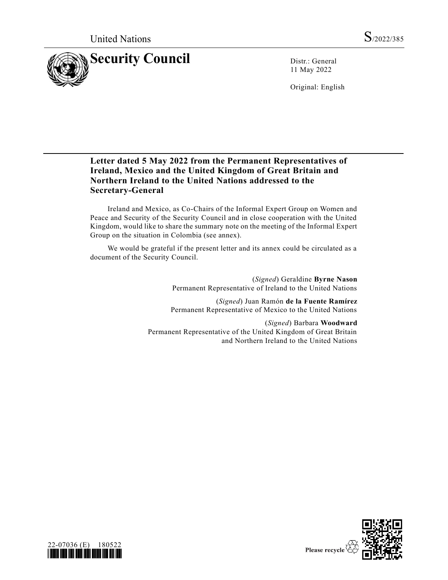

11 May 2022

Original: English

# **Letter dated 5 May 2022 from the Permanent Representatives of Ireland, Mexico and the United Kingdom of Great Britain and Northern Ireland to the United Nations addressed to the Secretary-General**

Ireland and Mexico, as Co-Chairs of the Informal Expert Group on Women and Peace and Security of the Security Council and in close cooperation with the United Kingdom, would like to share the summary note on the meeting of the Informal Expert Group on the situation in Colombia (see annex).

We would be grateful if the present letter and its annex could be circulated as a document of the Security Council.

> (*Signed*) Geraldine **Byrne Nason** Permanent Representative of Ireland to the United Nations

> (*Signed*) Juan Ramón **de la Fuente Ramírez** Permanent Representative of Mexico to the United Nations

(*Signed*) Barbara **Woodward** Permanent Representative of the United Kingdom of Great Britain and Northern Ireland to the United Nations



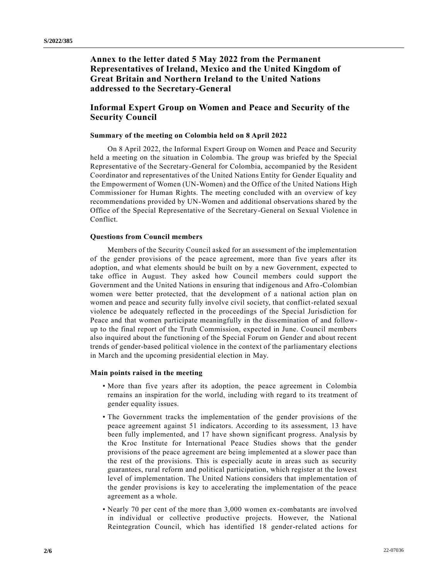**Annex to the letter dated 5 May 2022 from the Permanent Representatives of Ireland, Mexico and the United Kingdom of Great Britain and Northern Ireland to the United Nations addressed to the Secretary-General**

## **Informal Expert Group on Women and Peace and Security of the Security Council**

### **Summary of the meeting on Colombia held on 8 April 2022**

On 8 April 2022, the Informal Expert Group on Women and Peace and Security held a meeting on the situation in Colombia. The group was briefed by the Special Representative of the Secretary-General for Colombia, accompanied by the Resident Coordinator and representatives of the United Nations Entity for Gender Equality and the Empowerment of Women (UN-Women) and the Office of the United Nations High Commissioner for Human Rights. The meeting concluded with an overview of key recommendations provided by UN-Women and additional observations shared by the Office of the Special Representative of the Secretary-General on Sexual Violence in Conflict.

### **Questions from Council members**

Members of the Security Council asked for an assessment of the implementation of the gender provisions of the peace agreement, more than five years after its adoption, and what elements should be built on by a new Government, expected to take office in August. They asked how Council members could support the Government and the United Nations in ensuring that indigenous and Afro-Colombian women were better protected, that the development of a national action plan on women and peace and security fully involve civil society, that conflict-related sexual violence be adequately reflected in the proceedings of the Special Jurisdiction for Peace and that women participate meaningfully in the dissemination of and followup to the final report of the Truth Commission, expected in June. Council members also inquired about the functioning of the Special Forum on Gender and about recent trends of gender-based political violence in the context of the parliamentary elections in March and the upcoming presidential election in May.

#### **Main points raised in the meeting**

- More than five years after its adoption, the peace agreement in Colombia remains an inspiration for the world, including with regard to its treatment of gender equality issues.
- The Government tracks the implementation of the gender provisions of the peace agreement against 51 indicators. According to its assessment, 13 have been fully implemented, and 17 have shown significant progress. Analysis by the Kroc Institute for International Peace Studies shows that the gender provisions of the peace agreement are being implemented at a slower pace than the rest of the provisions. This is especially acute in areas such as security guarantees, rural reform and political participation, which register at the lowest level of implementation. The United Nations considers that implementation of the gender provisions is key to accelerating the implementation of the peace agreement as a whole.
- Nearly 70 per cent of the more than 3,000 women ex-combatants are involved in individual or collective productive projects. However, the National Reintegration Council, which has identified 18 gender-related actions for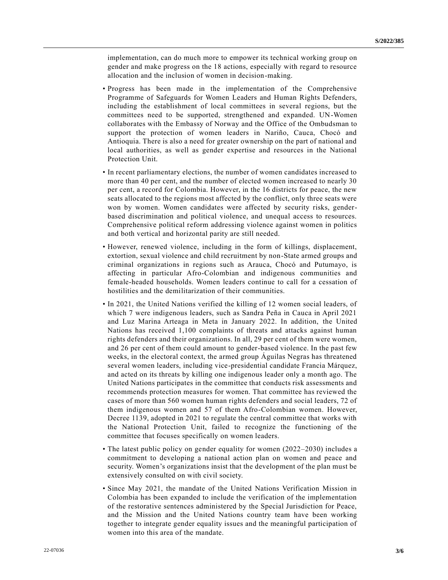implementation, can do much more to empower its technical working group on gender and make progress on the 18 actions, especially with regard to resource allocation and the inclusion of women in decision-making.

- Progress has been made in the implementation of the Comprehensive Programme of Safeguards for Women Leaders and Human Rights Defenders, including the establishment of local committees in several regions, but the committees need to be supported, strengthened and expanded. UN-Women collaborates with the Embassy of Norway and the Office of the Ombudsman to support the protection of women leaders in Nariño, Cauca, Chocó and Antioquia. There is also a need for greater ownership on the part of national and local authorities, as well as gender expertise and resources in the National Protection Unit.
- In recent parliamentary elections, the number of women candidates increased to more than 40 per cent, and the number of elected women increased to nearly 30 per cent, a record for Colombia. However, in the 16 districts for peace, the new seats allocated to the regions most affected by the conflict, only three seats were won by women. Women candidates were affected by security risks, genderbased discrimination and political violence, and unequal access to resources. Comprehensive political reform addressing violence against women in politics and both vertical and horizontal parity are still needed.
- However, renewed violence, including in the form of killings, displacement, extortion, sexual violence and child recruitment by non-State armed groups and criminal organizations in regions such as Arauca, Chocó and Putumayo, is affecting in particular Afro-Colombian and indigenous communities and female-headed households. Women leaders continue to call for a cessation of hostilities and the demilitarization of their communities.
- In 2021, the United Nations verified the killing of 12 women social leaders, of which 7 were indigenous leaders, such as Sandra Peña in Cauca in April 2021 and Luz Marina Arteaga in Meta in January 2022. In addition, the United Nations has received 1,100 complaints of threats and attacks against human rights defenders and their organizations. In all, 29 per cent of them were women, and 26 per cent of them could amount to gender-based violence. In the past few weeks, in the electoral context, the armed group Águilas Negras has threatened several women leaders, including vice-presidential candidate Francia Márquez, and acted on its threats by killing one indigenous leader only a month ago. The United Nations participates in the committee that conducts risk assessments and recommends protection measures for women. That committee has reviewed the cases of more than 560 women human rights defenders and social leaders, 72 of them indigenous women and 57 of them Afro-Colombian women. However, Decree 1139, adopted in 2021 to regulate the central committee that works with the National Protection Unit, failed to recognize the functioning of the committee that focuses specifically on women leaders.
- The latest public policy on gender equality for women (2022–2030) includes a commitment to developing a national action plan on women and peace and security. Women's organizations insist that the development of the plan must be extensively consulted on with civil society.
- Since May 2021, the mandate of the United Nations Verification Mission in Colombia has been expanded to include the verification of the implementation of the restorative sentences administered by the Special Jurisdiction for Peace, and the Mission and the United Nations country team have been working together to integrate gender equality issues and the meaningful participation of women into this area of the mandate.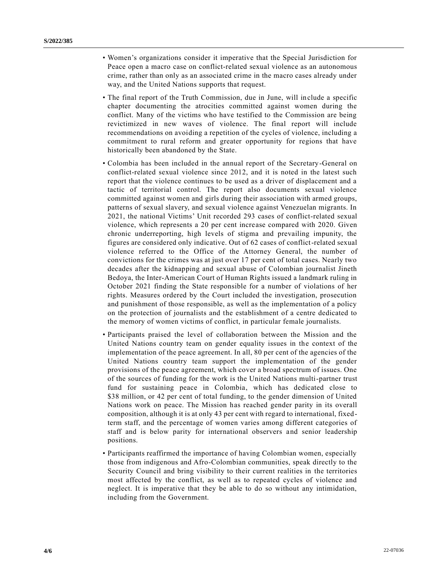- Women's organizations consider it imperative that the Special Jurisdiction for Peace open a macro case on conflict-related sexual violence as an autonomous crime, rather than only as an associated crime in the macro cases already under way, and the United Nations supports that request.
- The final report of the Truth Commission, due in June, will include a specific chapter documenting the atrocities committed against women during the conflict. Many of the victims who have testified to the Commission are being revictimized in new waves of violence. The final report will include recommendations on avoiding a repetition of the cycles of violence, including a commitment to rural reform and greater opportunity for regions that have historically been abandoned by the State.
- Colombia has been included in the annual report of the Secretary-General on conflict-related sexual violence since 2012, and it is noted in the latest such report that the violence continues to be used as a driver of displacement and a tactic of territorial control. The report also documents sexual violence committed against women and girls during their association with armed groups, patterns of sexual slavery, and sexual violence against Venezuelan migrants. In 2021, the national Victims' Unit recorded 293 cases of conflict-related sexual violence, which represents a 20 per cent increase compared with 2020. Given chronic underreporting, high levels of stigma and prevailing impunity, the figures are considered only indicative. Out of 62 cases of conflict-related sexual violence referred to the Office of the Attorney General, the number of convictions for the crimes was at just over 17 per cent of total cases. Nearly two decades after the kidnapping and sexual abuse of Colombian journalist Jineth Bedoya, the Inter-American Court of Human Rights issued a landmark ruling in October 2021 finding the State responsible for a number of violations of her rights. Measures ordered by the Court included the investigation, prosecution and punishment of those responsible, as well as the implementation of a policy on the protection of journalists and the establishment of a centre dedicated to the memory of women victims of conflict, in particular female journalists.
- Participants praised the level of collaboration between the Mission and the United Nations country team on gender equality issues in the context of the implementation of the peace agreement. In all, 80 per cent of the agencies of the United Nations country team support the implementation of the gender provisions of the peace agreement, which cover a broad spectrum of issues. One of the sources of funding for the work is the United Nations multi-partner trust fund for sustaining peace in Colombia, which has dedicated close to \$38 million, or 42 per cent of total funding, to the gender dimension of United Nations work on peace. The Mission has reached gender parity in its overall composition, although it is at only 43 per cent with regard to international, fixedterm staff, and the percentage of women varies among different categories of staff and is below parity for international observers and senior leadership positions.
- Participants reaffirmed the importance of having Colombian women, especially those from indigenous and Afro-Colombian communities, speak directly to the Security Council and bring visibility to their current realities in the territories most affected by the conflict, as well as to repeated cycles of violence and neglect. It is imperative that they be able to do so without any intimidation, including from the Government.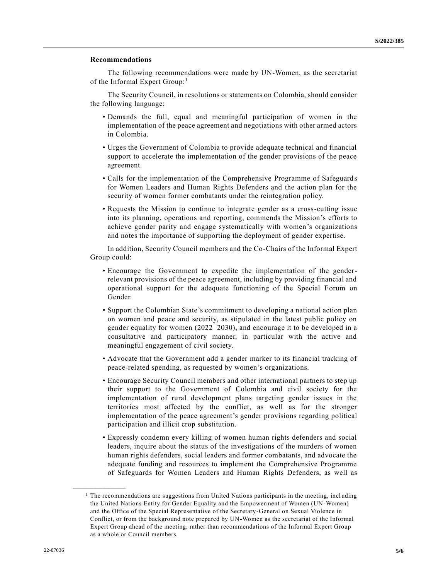### **Recommendations**

The following recommendations were made by UN-Women, as the secretariat of the Informal Expert Group:<sup>1</sup>

The Security Council, in resolutions or statements on Colombia, should consider the following language:

- Demands the full, equal and meaningful participation of women in the implementation of the peace agreement and negotiations with other armed actors in Colombia.
- Urges the Government of Colombia to provide adequate technical and financial support to accelerate the implementation of the gender provisions of the peace agreement.
- Calls for the implementation of the Comprehensive Programme of Safeguard s for Women Leaders and Human Rights Defenders and the action plan for the security of women former combatants under the reintegration policy.
- Requests the Mission to continue to integrate gender as a cross-cutting issue into its planning, operations and reporting, commends the Mission's efforts to achieve gender parity and engage systematically with women's organizations and notes the importance of supporting the deployment of gender expertise.

In addition, Security Council members and the Co-Chairs of the Informal Expert Group could:

- Encourage the Government to expedite the implementation of the genderrelevant provisions of the peace agreement, including by providing financial and operational support for the adequate functioning of the Special Forum on Gender.
- Support the Colombian State's commitment to developing a national action plan on women and peace and security, as stipulated in the latest public policy on gender equality for women (2022–2030), and encourage it to be developed in a consultative and participatory manner, in particular with the active and meaningful engagement of civil society.
- Advocate that the Government add a gender marker to its financial tracking of peace-related spending, as requested by women's organizations.
- Encourage Security Council members and other international partners to step up their support to the Government of Colombia and civil society for the implementation of rural development plans targeting gender issues in the territories most affected by the conflict, as well as for the stronger implementation of the peace agreement's gender provisions regarding political participation and illicit crop substitution.
- Expressly condemn every killing of women human rights defenders and social leaders, inquire about the status of the investigations of the murders of women human rights defenders, social leaders and former combatants, and advocate the adequate funding and resources to implement the Comprehensive Programme of Safeguards for Women Leaders and Human Rights Defenders, as well as

**\_\_\_\_\_\_\_\_\_\_\_\_\_\_\_\_\_\_**

<sup>&</sup>lt;sup>1</sup> The recommendations are suggestions from United Nations participants in the meeting, including the United Nations Entity for Gender Equality and the Empowerment of Women (UN-Women) and the Office of the Special Representative of the Secretary-General on Sexual Violence in Conflict, or from the background note prepared by UN-Women as the secretariat of the Informal Expert Group ahead of the meeting, rather than recommendations of the Informal Expert Group as a whole or Council members.